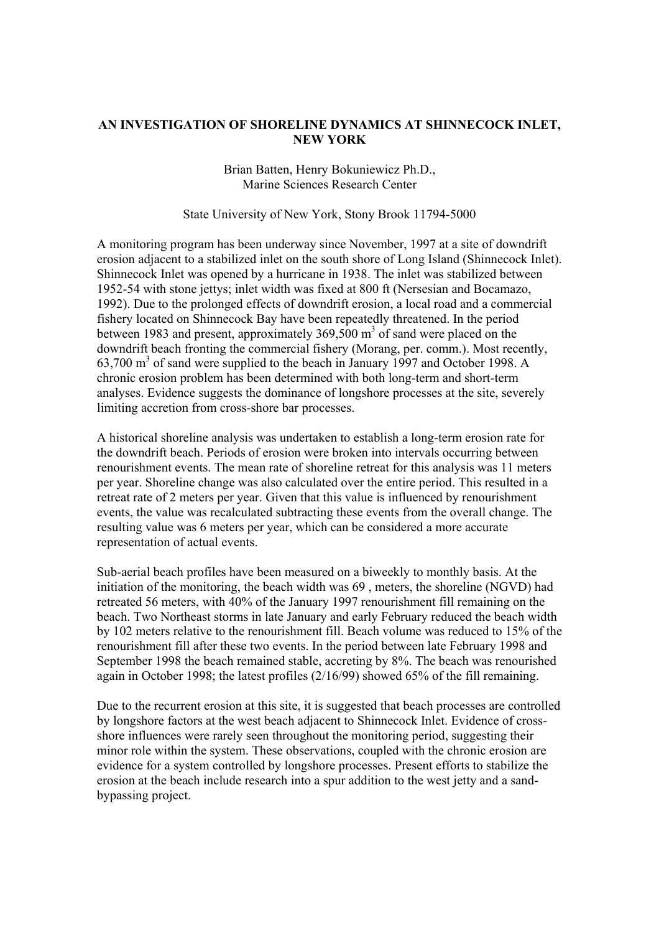## **AN INVESTIGATION OF SHORELINE DYNAMICS AT SHINNECOCK INLET, NEW YORK**

Brian Batten, Henry Bokuniewicz Ph.D., Marine Sciences Research Center

## State University of New York, Stony Brook 11794-5000

A monitoring program has been underway since November, 1997 at a site of downdrift erosion adjacent to a stabilized inlet on the south shore of Long Island (Shinnecock Inlet). Shinnecock Inlet was opened by a hurricane in 1938. The inlet was stabilized between 1952-54 with stone jettys; inlet width was fixed at 800 ft (Nersesian and Bocamazo, 1992). Due to the prolonged effects of downdrift erosion, a local road and a commercial fishery located on Shinnecock Bay have been repeatedly threatened. In the period between 1983 and present, approximately  $369,500 \text{ m}^3$  of sand were placed on the downdrift beach fronting the commercial fishery (Morang, per. comm.). Most recently, 63,700 m<sup>3</sup> of sand were supplied to the beach in January 1997 and October 1998. A chronic erosion problem has been determined with both long-term and short-term analyses. Evidence suggests the dominance of longshore processes at the site, severely limiting accretion from cross-shore bar processes.

A historical shoreline analysis was undertaken to establish a long-term erosion rate for the downdrift beach. Periods of erosion were broken into intervals occurring between renourishment events. The mean rate of shoreline retreat for this analysis was 11 meters per year. Shoreline change was also calculated over the entire period. This resulted in a retreat rate of 2 meters per year. Given that this value is influenced by renourishment events, the value was recalculated subtracting these events from the overall change. The resulting value was 6 meters per year, which can be considered a more accurate representation of actual events.

Sub-aerial beach profiles have been measured on a biweekly to monthly basis. At the initiation of the monitoring, the beach width was 69 , meters, the shoreline (NGVD) had retreated 56 meters, with 40% of the January 1997 renourishment fill remaining on the beach. Two Northeast storms in late January and early February reduced the beach width by 102 meters relative to the renourishment fill. Beach volume was reduced to 15% of the renourishment fill after these two events. In the period between late February 1998 and September 1998 the beach remained stable, accreting by 8%. The beach was renourished again in October 1998; the latest profiles (2/16/99) showed 65% of the fill remaining.

Due to the recurrent erosion at this site, it is suggested that beach processes are controlled by longshore factors at the west beach adjacent to Shinnecock Inlet. Evidence of crossshore influences were rarely seen throughout the monitoring period, suggesting their minor role within the system. These observations, coupled with the chronic erosion are evidence for a system controlled by longshore processes. Present efforts to stabilize the erosion at the beach include research into a spur addition to the west jetty and a sandbypassing project.